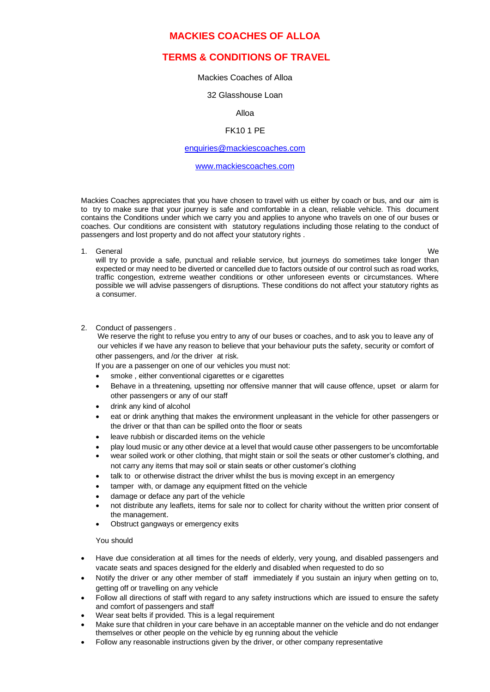## **MACKIES COACHES OF ALLOA**

# **TERMS & CONDITIONS OF TRAVEL**

## Mackies Coaches of Alloa

#### 32 Glasshouse Loan

#### Alloa

## FK10 1 PE

#### [enquiries@mackiescoaches.com](mailto:enquiries@mackiescoaches.com)

#### [www.mackiescoaches.com](http://www.mackiescoaches.com/)

Mackies Coaches appreciates that you have chosen to travel with us either by coach or bus, and our aim is to try to make sure that your journey is safe and comfortable in a clean, reliable vehicle. This document contains the Conditions under which we carry you and applies to anyone who travels on one of our buses or coaches. Our conditions are consistent with statutory regulations including those relating to the conduct of passengers and lost property and do not affect your statutory rights .

1. General We

will try to provide a safe, punctual and reliable service, but journeys do sometimes take longer than expected or may need to be diverted or cancelled due to factors outside of our control such as road works, traffic congestion, extreme weather conditions or other unforeseen events or circumstances. Where possible we will advise passengers of disruptions. These conditions do not affect your statutory rights as a consumer.

#### 2. Conduct of passengers .

 We reserve the right to refuse you entry to any of our buses or coaches, and to ask you to leave any of our vehicles if we have any reason to believe that your behaviour puts the safety, security or comfort of other passengers, and /or the driver at risk.

If you are a passenger on one of our vehicles you must not:

- smoke, either conventional cigarettes or e cigarettes
- Behave in a threatening, upsetting nor offensive manner that will cause offence, upset or alarm for other passengers or any of our staff
- drink any kind of alcohol
- eat or drink anything that makes the environment unpleasant in the vehicle for other passengers or the driver or that than can be spilled onto the floor or seats
- leave rubbish or discarded items on the vehicle
- play loud music or any other device at a level that would cause other passengers to be uncomfortable
- wear soiled work or other clothing, that might stain or soil the seats or other customer's clothing, and not carry any items that may soil or stain seats or other customer's clothing
- talk to or otherwise distract the driver whilst the bus is moving except in an emergency
- tamper with, or damage any equipment fitted on the vehicle
- damage or deface any part of the vehicle
- not distribute any leaflets, items for sale nor to collect for charity without the written prior consent of the management.
- Obstruct gangways or emergency exits

### You should

- Have due consideration at all times for the needs of elderly, very young, and disabled passengers and vacate seats and spaces designed for the elderly and disabled when requested to do so
- Notify the driver or any other member of staff immediately if you sustain an injury when getting on to, getting off or travelling on any vehicle
- Follow all directions of staff with regard to any safety instructions which are issued to ensure the safety and comfort of passengers and staff
- Wear seat belts if provided. This is a legal requirement
- Make sure that children in your care behave in an acceptable manner on the vehicle and do not endanger themselves or other people on the vehicle by eg running about the vehicle
- Follow any reasonable instructions given by the driver, or other company representative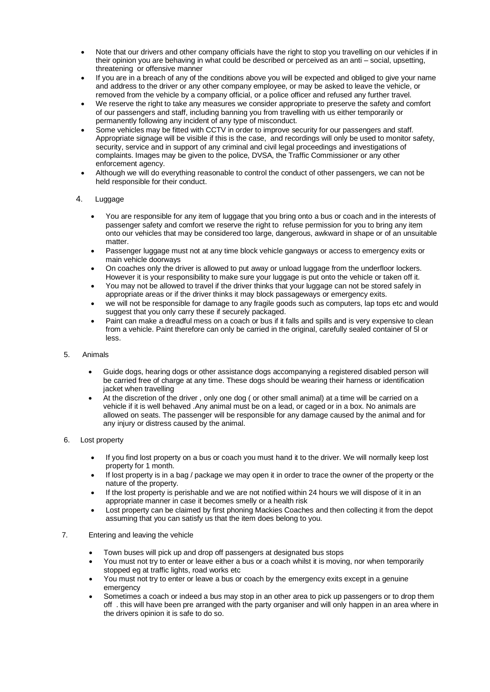- Note that our drivers and other company officials have the right to stop you travelling on our vehicles if in their opinion you are behaving in what could be described or perceived as an anti – social, upsetting, threatening or offensive manner
- If you are in a breach of any of the conditions above you will be expected and obliged to give your name and address to the driver or any other company employee, or may be asked to leave the vehicle, or removed from the vehicle by a company official, or a police officer and refused any further travel.
- We reserve the right to take any measures we consider appropriate to preserve the safety and comfort of our passengers and staff, including banning you from travelling with us either temporarily or permanently following any incident of any type of misconduct.
- Some vehicles may be fitted with CCTV in order to improve security for our passengers and staff. Appropriate signage will be visible if this is the case, and recordings will only be used to monitor safety, security, service and in support of any criminal and civil legal proceedings and investigations of complaints. Images may be given to the police, DVSA, the Traffic Commissioner or any other enforcement agency.
- Although we will do everything reasonable to control the conduct of other passengers, we can not be held responsible for their conduct.

## 4. Luggage

- You are responsible for any item of luggage that you bring onto a bus or coach and in the interests of passenger safety and comfort we reserve the right to refuse permission for you to bring any item onto our vehicles that may be considered too large, dangerous, awkward in shape or of an unsuitable matter.
- Passenger luggage must not at any time block vehicle gangways or access to emergency exits or main vehicle doorways
- On coaches only the driver is allowed to put away or unload luggage from the underfloor lockers. However it is your responsibility to make sure your luggage is put onto the vehicle or taken off it.
- You may not be allowed to travel if the driver thinks that your luggage can not be stored safely in appropriate areas or if the driver thinks it may block passageways or emergency exits.
- we will not be responsible for damage to any fragile goods such as computers, lap tops etc and would suggest that you only carry these if securely packaged.
- Paint can make a dreadful mess on a coach or bus if it falls and spills and is very expensive to clean from a vehicle. Paint therefore can only be carried in the original, carefully sealed container of 5l or less.

#### 5. Animals

- Guide dogs, hearing dogs or other assistance dogs accompanying a registered disabled person will be carried free of charge at any time. These dogs should be wearing their harness or identification jacket when travelling
- At the discretion of the driver , only one dog ( or other small animal) at a time will be carried on a vehicle if it is well behaved .Any animal must be on a lead, or caged or in a box. No animals are allowed on seats. The passenger will be responsible for any damage caused by the animal and for any injury or distress caused by the animal.

#### 6. Lost property

- If you find lost property on a bus or coach you must hand it to the driver. We will normally keep lost property for 1 month.
- If lost property is in a bag / package we may open it in order to trace the owner of the property or the nature of the property.
- If the lost property is perishable and we are not notified within 24 hours we will dispose of it in an appropriate manner in case it becomes smelly or a health risk
- Lost property can be claimed by first phoning Mackies Coaches and then collecting it from the depot assuming that you can satisfy us that the item does belong to you.

#### 7. Entering and leaving the vehicle

- Town buses will pick up and drop off passengers at designated bus stops
- You must not try to enter or leave either a bus or a coach whilst it is moving, nor when temporarily stopped eg at traffic lights, road works etc
- You must not try to enter or leave a bus or coach by the emergency exits except in a genuine emergency
- Sometimes a coach or indeed a bus may stop in an other area to pick up passengers or to drop them off . this will have been pre arranged with the party organiser and will only happen in an area where in the drivers opinion it is safe to do so.